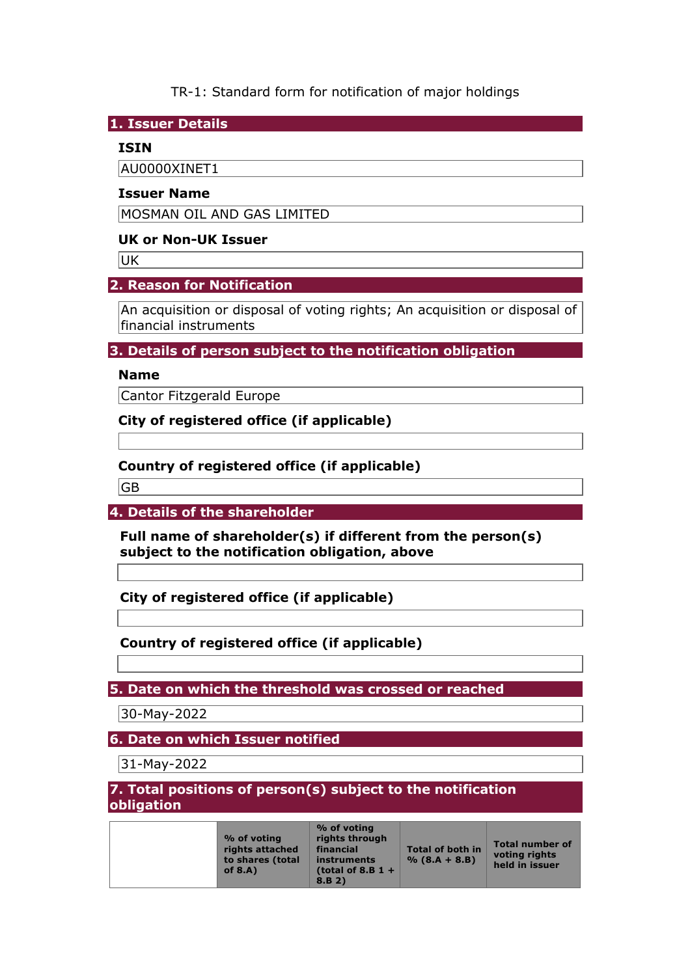TR-1: Standard form for notification of major holdings

**1. Issuer Details** 

## **ISIN**

AU0000XINET1

#### **Issuer Name**

MOSMAN OIL AND GAS LIMITED

### **UK or Non-UK Issuer**

UK

## **2. Reason for Notification**

An acquisition or disposal of voting rights; An acquisition or disposal of financial instruments

## **3. Details of person subject to the notification obligation**

## **Name**

Cantor Fitzgerald Europe

**City of registered office (if applicable)** 

## **Country of registered office (if applicable)**

GB

**4. Details of the shareholder** 

**Full name of shareholder(s) if different from the person(s) subject to the notification obligation, above** 

**City of registered office (if applicable)** 

**Country of registered office (if applicable)** 

**5. Date on which the threshold was crossed or reached** 

30-May-2022

**6. Date on which Issuer notified** 

31-May-2022

**7. Total positions of person(s) subject to the notification obligation**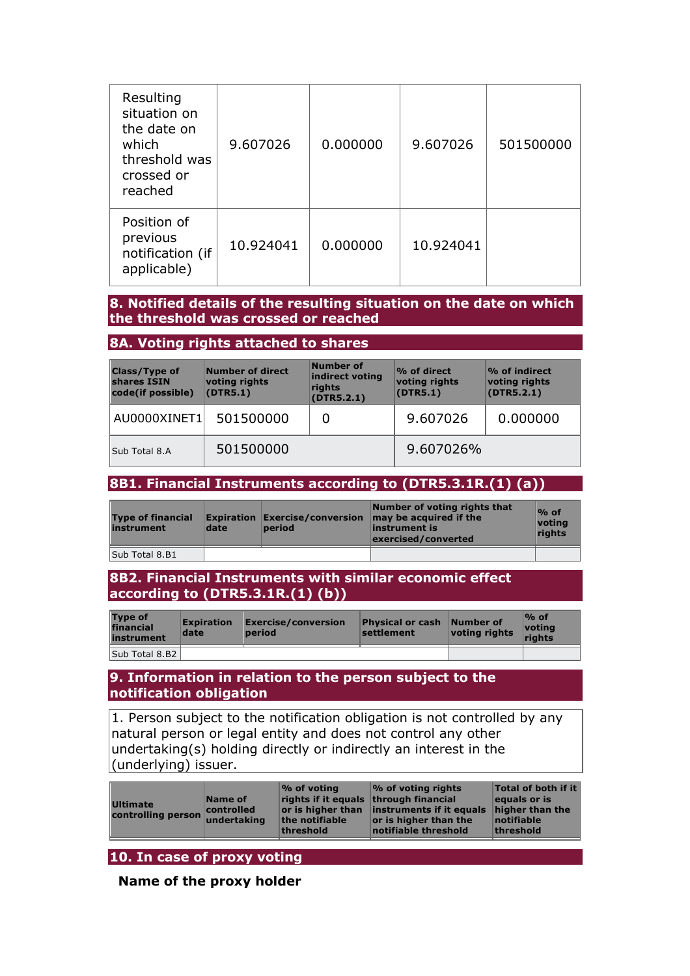| Resulting<br>situation on<br>the date on<br>which<br>threshold was<br>crossed or<br>reached | 9.607026  | 0.000000 | 9.607026  | 501500000 |
|---------------------------------------------------------------------------------------------|-----------|----------|-----------|-----------|
| Position of<br>previous<br>notification (if<br>applicable)                                  | 10.924041 | 0.000000 | 10.924041 |           |

#### **8. Notified details of the resulting situation on the date on which the threshold was crossed or reached**

#### **8A. Voting rights attached to shares**

| <b>Class/Type of</b><br>shares ISIN<br>code(if possible) | Number of direct<br>voting rights<br>(DTR5.1) | Number of<br>indirect voting<br>rights<br>(DTR5.2.1) | $\mathcal{P}_0$ of direct<br>voting rights<br>(DTR5.1) | $\mathcal V$ of indirect<br>voting rights<br>(DTR5.2.1) |
|----------------------------------------------------------|-----------------------------------------------|------------------------------------------------------|--------------------------------------------------------|---------------------------------------------------------|
| AU0000XINET1                                             | 501500000                                     |                                                      | 9.607026                                               | 0.000000                                                |
| Sub Total 8.A                                            | 501500000                                     |                                                      | 9.607026%                                              |                                                         |

# **8B1. Financial Instruments according to (DTR5.3.1R.(1) (a))**

| <b>Type of financial</b><br>instrument | date | <b>period</b> | Number of voting rights that<br><b>Expiration Exercise/conversion may be acquired if the</b><br>instrument is<br>exercised/converted | $%$ of<br><u> votina</u><br>rights |
|----------------------------------------|------|---------------|--------------------------------------------------------------------------------------------------------------------------------------|------------------------------------|
| Sub Total 8.B1                         |      |               |                                                                                                                                      |                                    |

#### **8B2. Financial Instruments with similar economic effect according to (DTR5.3.1R.(1) (b))**

| <b>Type of</b><br>financial<br>instrument | <b>Expiration</b><br>date | $\mathsf{\mathsf{Exercise}/}\mathsf{conversion}$<br>period | <b>Physical or cash</b><br>settlement | Number of<br>voting rights | $\%$ of<br>votina<br>riahts |
|-------------------------------------------|---------------------------|------------------------------------------------------------|---------------------------------------|----------------------------|-----------------------------|
| Sub Total 8.B2                            |                           |                                                            |                                       |                            |                             |

#### **9. Information in relation to the person subject to the notification obligation**

1. Person subject to the notification obligation is not controlled by any natural person or legal entity and does not control any other undertaking(s) holding directly or indirectly an interest in the (underlying) issuer.

| <b>Ultimate</b><br>controlling person undertaking | Name of<br>controlled | $\mathcal{O}_0$ of voting<br>rights if it equals through financial<br>the notifiable<br>threshold | $\%$ of voting rights<br>or is higher than instruments if it equals<br>or is higher than the<br>notifiable threshold | Total of both if it<br>equals or is<br>higher than the<br>notifiable<br>threshold |
|---------------------------------------------------|-----------------------|---------------------------------------------------------------------------------------------------|----------------------------------------------------------------------------------------------------------------------|-----------------------------------------------------------------------------------|
|                                                   |                       |                                                                                                   |                                                                                                                      |                                                                                   |

# **10. In case of proxy voting**

**Name of the proxy holder**